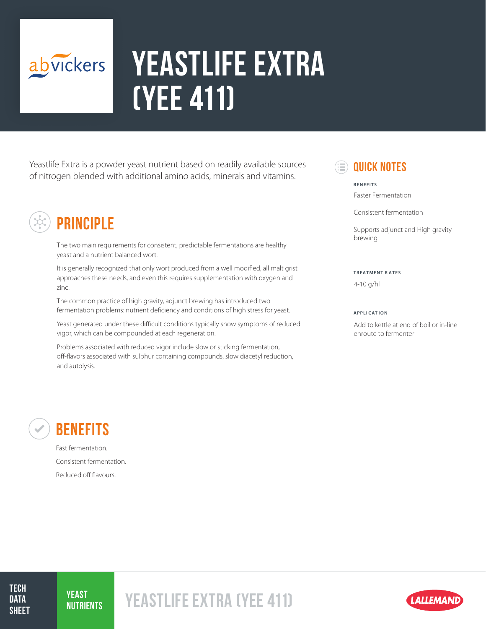abvickers

# Yeastlife Extra (YEE411)

Yeastlife Extra is a powder yeast nutrient based on readily available sources of nitrogen blended with additional amino acids, minerals and vitamins.

## **PRINCIPLE**

The two main requirements for consistent, predictable fermentations are healthy yeast and a nutrient balanced wort.

It is generally recognized that only wort produced from a well modified, all malt grist approaches these needs, and even this requires supplementation with oxygen and zinc.

The common practice of high gravity, adjunct brewing has introduced two fermentation problems: nutrient deficiency and conditions of high stress for yeast.

Yeast generated under these difficult conditions typically show symptoms of reduced vigor, which can be compounded at each regeneration.

Problems associated with reduced vigor include slow or sticking fermentation, off-flavors associated with sulphur containing compounds, slow diacetyl reduction, and autolysis.



## **B ENEFITS** Faster Fermentation

Consistent fermentation

Supports adjunct and High gravity brewing

**TREATMENT R A TES**

4-10 g/hl

### **APPLI CAT ION**

Add to kettle at end of boil or in-line enroute to fermenter



## **BENEFITS**

Fast fermentation. Consistent fermentation. Reduced off flavours.

**TECH DATA** sheet

# **YEAST**

# **YEAST WEASTLIFE EXTRA (YEE 411)**